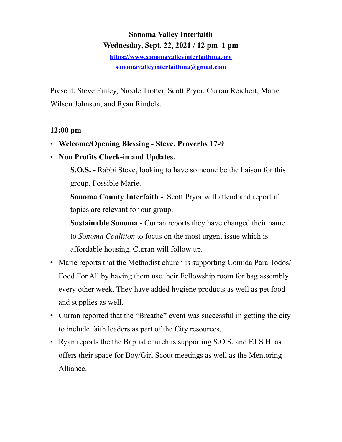# **Sonoma Valley Interfaith Wednesday, Sept. 22, 2021 / 12 pm–1 pm <https://www.sonomavalleyinterfaithma.org> [sonomavalleyinterfaithma@gmail.com](mailto:sonomavalleyinterfaithma@gmail.com)**

Present: Steve Finley, Nicole Trotter, Scott Pryor, Curran Reichert, Marie Wilson Johnson, and Ryan Rindels.

# **12:00 pm**

- **Welcome/Opening Blessing Steve, Proverbs 17-9**
- **Non Profits Check-in and Updates.**

 **S.O.S. -** Rabbi Steve, looking to have someone be the liaison for this group. Possible Marie.

**Sonoma County Interfaith -** Scott Pryor will attend and report if topics are relevant for our group.

**Sustainable Sonoma** - Curran reports they have changed their name to *Sonoma Coalition* to focus on the most urgent issue which is affordable housing. Curran will follow up.

- Marie reports that the Methodist church is supporting Comida Para Todos/ Food For All by having them use their Fellowship room for bag assembly every other week. They have added hygiene products as well as pet food and supplies as well.
- Curran reported that the "Breathe" event was successful in getting the city to include faith leaders as part of the City resources.
- Ryan reports the the Baptist church is supporting S.O.S. and F.I.S.H. as offers their space for Boy/Girl Scout meetings as well as the Mentoring Alliance.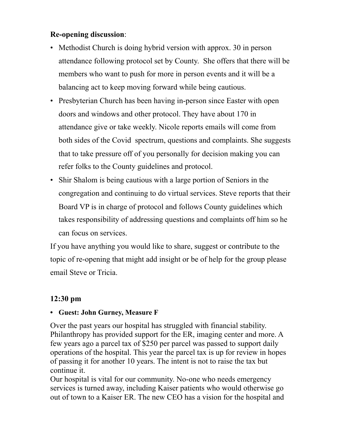#### **Re-opening discussion**:

- Methodist Church is doing hybrid version with approx. 30 in person attendance following protocol set by County. She offers that there will be members who want to push for more in person events and it will be a balancing act to keep moving forward while being cautious.
- Presbyterian Church has been having in-person since Easter with open doors and windows and other protocol. They have about 170 in attendance give or take weekly. Nicole reports emails will come from both sides of the Covid spectrum, questions and complaints. She suggests that to take pressure off of you personally for decision making you can refer folks to the County guidelines and protocol.
- Shir Shalom is being cautious with a large portion of Seniors in the congregation and continuing to do virtual services. Steve reports that their Board VP is in charge of protocol and follows County guidelines which takes responsibility of addressing questions and complaints off him so he can focus on services.

If you have anything you would like to share, suggest or contribute to the topic of re-opening that might add insight or be of help for the group please email Steve or Tricia.

# **12:30 pm**

#### **• Guest: John Gurney, Measure F**

Over the past years our hospital has struggled with financial stability. Philanthropy has provided support for the ER, imaging center and more. A few years ago a parcel tax of \$250 per parcel was passed to support daily operations of the hospital. This year the parcel tax is up for review in hopes of passing it for another 10 years. The intent is not to raise the tax but continue it.

Our hospital is vital for our community. No-one who needs emergency services is turned away, including Kaiser patients who would otherwise go out of town to a Kaiser ER. The new CEO has a vision for the hospital and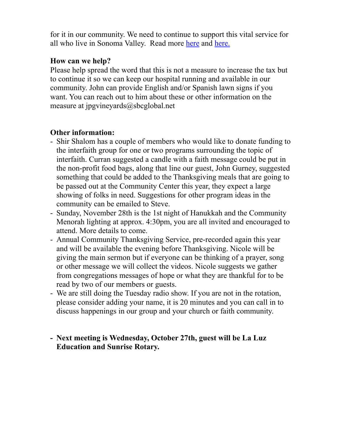for it in our community. We need to continue to support this vital service for all who live in Sonoma Valley. Read more [here](https://www.sonomavalleyhospital.org/what-you-should-know-about-the-parcel-tax/) and [here.](https://sonomacounty.ca.gov/CRA/Registrar-of-Voters/Elections/11-02-2021/News/Notice-of-Measure-to-be-Voted-on-in-Sonoma-Valley-Health-Care-District/)

#### **How can we help?**

Please help spread the word that this is not a measure to increase the tax but to continue it so we can keep our hospital running and available in our community. John can provide English and/or Spanish lawn signs if you want. You can reach out to him about these or other information on the measure at jpgvineyards@sbcglobal.net

## **Other information:**

- Shir Shalom has a couple of members who would like to donate funding to the interfaith group for one or two programs surrounding the topic of interfaith. Curran suggested a candle with a faith message could be put in the non-profit food bags, along that line our guest, John Gurney, suggested something that could be added to the Thanksgiving meals that are going to be passed out at the Community Center this year, they expect a large showing of folks in need. Suggestions for other program ideas in the community can be emailed to Steve.
- Sunday, November 28th is the 1st night of Hanukkah and the Community Menorah lighting at approx. 4:30pm, you are all invited and encouraged to attend. More details to come.
- Annual Community Thanksgiving Service, pre-recorded again this year and will be available the evening before Thanksgiving. Nicole will be giving the main sermon but if everyone can be thinking of a prayer, song or other message we will collect the videos. Nicole suggests we gather from congregations messages of hope or what they are thankful for to be read by two of our members or guests.
- We are still doing the Tuesday radio show. If you are not in the rotation, please consider adding your name, it is 20 minutes and you can call in to discuss happenings in our group and your church or faith community.

## **- Next meeting is Wednesday, October 27th, guest will be La Luz Education and Sunrise Rotary.**